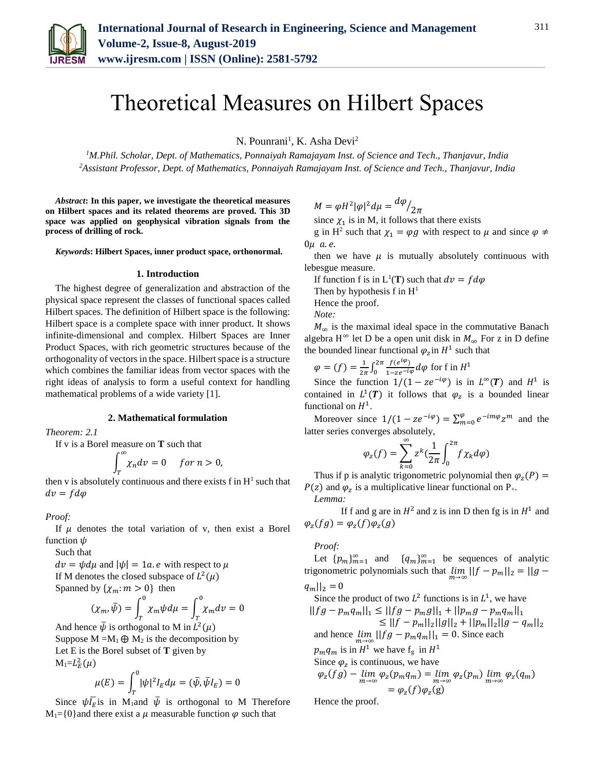

# Theoretical Measures on Hilbert Spaces

N. Pounrani<sup>1</sup>, K. Asha Devi<sup>2</sup>

*<sup>1</sup>M.Phil. Scholar, Dept. of Mathematics, Ponnaiyah Ramajayam Inst. of Science and Tech., Thanjavur, India 2Assistant Professor, Dept. of Mathematics, Ponnaiyah Ramajayam Inst. of Science and Tech., Thanjavur, India*

*Abstract***: In this paper, we investigate the theoretical measures on Hilbert spaces and its related theorems are proved. This 3D space was applied on geophysical vibration signals from the process of drilling of rock.**

*Keywords***: Hilbert Spaces, inner product space, orthonormal.**

#### **1. Introduction**

The highest degree of generalization and abstraction of the physical space represent the classes of functional spaces called Hilbert spaces. The definition of Hilbert space is the following: Hilbert space is a complete space with inner product. It shows infinite-dimensional and complex. Hilbert Spaces are Inner Product Spaces, with rich geometric structures because of the orthogonality of vectors in the space. Hilbert space is a structure which combines the familiar ideas from vector spaces with the right ideas of analysis to form a useful context for handling mathematical problems of a wide variety [1].

## **2. Mathematical formulation**

*Theorem: 2.1*

If v is a Borel measure on **T** such that

$$
\int_{T}^{\infty} \chi_n dv = 0 \quad \text{for } n > 0,
$$

then v is absolutely continuous and there exists f in  $H^1$  such that  $dv = fd\varphi$ 

*Proof:*

If  $\mu$  denotes the total variation of v, then exist a Borel function  $\psi$ 

Such that

 $dv = \psi d\mu$  and  $|\psi| = 1a$ . *e* with respect to  $\mu$ If M denotes the closed subspace of  $L^2(\mu)$ Spanned by  $\{\chi_m : m > 0\}$  then

$$
(\chi_m, \bar{\psi}) = \int_T^0 \chi_m \psi d\mu = \int_{T}^0 \chi_m dv = 0
$$

And hence  $\bar{\psi}$  is orthogonal to M in  $L^2(\mu)$ Suppose  $M = M_1 \oplus M_2$  is the decomposition by Let E is the Borel subset of **T** given by  $M_1 = L_E^2(\mu)$ 

$$
\mu(E) = \int_T^0 |\psi|^2 I_E d\mu = (\bar{\psi}, \bar{\psi} I_E) = 0
$$

Since  $\psi \overline{I_{E}}$  is  $M_1$  and  $\overline{\psi}$  is orthogonal to M Therefore  $M_1 = \{0\}$  and there exist a  $\mu$  measurable function  $\varphi$  such that

$$
M = \varphi H^2 |\varphi|^2 d\mu = \frac{d\varphi}{2\pi}
$$

since  $\chi_1$  is in M, it follows that there exists

g in H<sup>2</sup> such that  $\chi_1 = \varphi g$  with respect to  $\mu$  and since  $\varphi \neq$  $0\mu$  a.e.

then we have  $\mu$  is mutually absolutely continuous with lebesgue measure.

If function f is in  $L^1(T)$  such that  $dv = fd\varphi$ 

Then by hypothesis f in  $H<sup>1</sup>$ 

Hence the proof.

*Note:* 

 $M_{\infty}$  is the maximal ideal space in the commutative Banach algebra  $H^{\infty}$  let D be a open unit disk in  $M_{\infty}$  For z in D define the bounded linear functional  $\varphi_z$  in  $H^1$  such that

 $\varphi = (f) = \frac{1}{2}$  $\frac{1}{2\pi} \int_0^{2\pi} \frac{f(e^{i\varphi})}{1 - ze^{-i\varphi}} d\varphi$  for f in  $H^1$ 

Since the function  $1/(1 - ze^{-i\varphi})$  is in  $L^{\infty}(T)$  and  $H^{1}$  is contained in  $L^1(T)$  it follows that  $\varphi_z$  is a bounded linear functional on  $H^1$ .

Moreover since  $1/(1 - ze^{-i\varphi}) = \sum_{m=0}^{\varphi} e^{-im\varphi} z^m$  and the latter series converges absolutely,

$$
\varphi_z(f) = \sum_{k=0}^{\infty} z^k \left(\frac{1}{2\pi} \int_0^{2\pi} f \chi_k d\varphi\right)
$$

Thus if p is analytic trigonometric polynomial then  $\varphi_z(P)$  =  $P(z)$  and  $\varphi_z$  is a multiplicative linear functional on P<sub>+</sub>.

## *Lemma:*

If f and g are in  $H^2$  and z is inn D then fg is in  $H^1$  and  $\varphi_z(fg) = \varphi_z(f)\varphi_z(g)$ 

*Proof:*

Let  ${p_m}_{m=1}^{\infty}$  and  ${q_m}_{m=1}^{\infty}$  be sequences of analytic trigonometric polynomials such that  $\lim_{m \to \infty} ||f - p_m||_2 = ||g -$ 

 $|q_m||_2 = 0$ Since the product of two  $L^2$  functions is in  $L^1$ , we have  $||fg - p_m q_m||_1 \leq ||fg - p_m g||_1 + ||p_m g - p_m q_m||_1$  $\leq ||f - p_m||_2 ||g||_2 + ||p_m||_2 ||g - q_m||_2$ and hence  $\lim_{m\to\infty}||fg - p_m q_m||_1 = 0$ . Since each  $p_m q_m$  is in  $H^1$  we have  $f_g$  in  $H^1$ Since  $\varphi_z$  is continuous, we have  $\varphi_z(fg) - \lim_{m \to \infty} \varphi_z(p_m q_m) = \lim_{m \to \infty} \varphi_z(p_m) \lim_{m \to \infty} \varphi_z(q_m)$  $= \varphi_z(f) \varphi_z(g)$ 

Hence the proof.